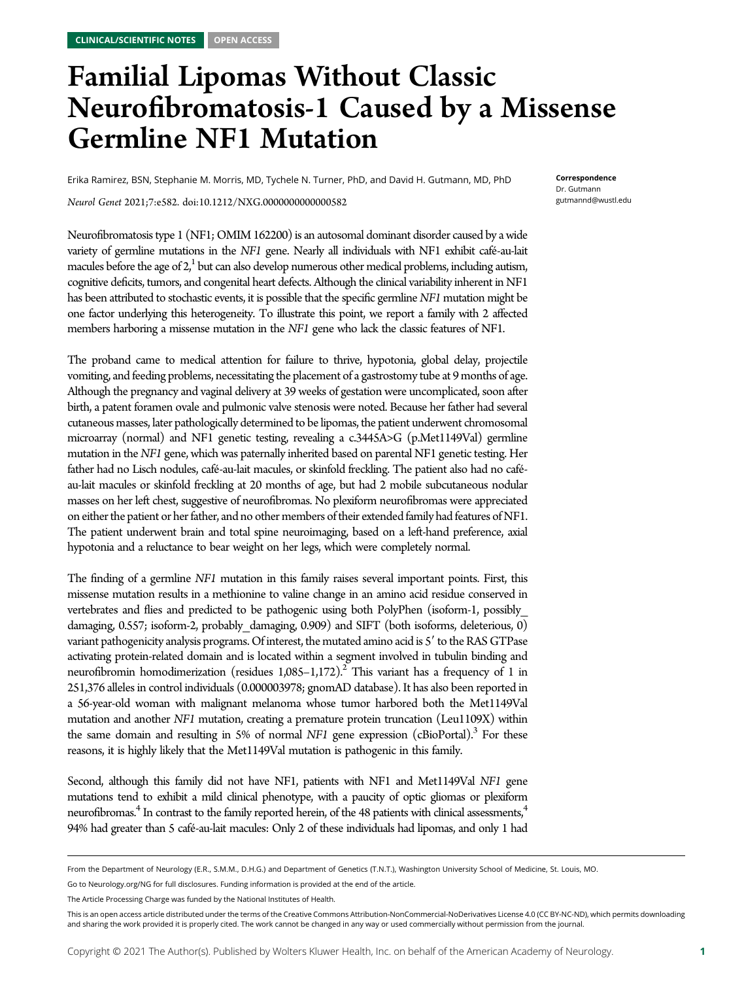# Familial Lipomas Without Classic Neurofibromatosis-1 Caused by a Missense Germline NF1 Mutation

Erika Ramirez, BSN, Stephanie M. Morris, MD, Tychele N. Turner, PhD, and David H. Gutmann, MD, PhD

Correspondence Dr. Gutmann [gutmannd@wustl.edu](mailto:gutmannd@wustl.edu)

Neurol Genet 2021;7:e582. doi:[10.1212/NXG.0000000000000582](http://dx.doi.org/10.1212/NXG.0000000000000582)

Neurofibromatosis type 1 (NF1; OMIM 162200) is an autosomal dominant disorder caused by a wide variety of germline mutations in the NF1 gene. Nearly all individuals with NF1 exhibit café-au-lait macules before the age of  $2<sub>i</sub><sup>1</sup>$  but can also develop numerous other medical problems, including autism, cognitive deficits, tumors, and congenital heart defects. Although the clinical variability inherent in NF1 has been attributed to stochastic events, it is possible that the specific germline NF1 mutation might be one factor underlying this heterogeneity. To illustrate this point, we report a family with 2 affected members harboring a missense mutation in the *NF1* gene who lack the classic features of NF1.

The proband came to medical attention for failure to thrive, hypotonia, global delay, projectile vomiting, and feeding problems, necessitating the placement of a gastrostomy tube at 9 months of age. Although the pregnancy and vaginal delivery at 39 weeks of gestation were uncomplicated, soon after birth, a patent foramen ovale and pulmonic valve stenosis were noted. Because her father had several cutaneous masses, later pathologically determined to be lipomas, the patient underwent chromosomal microarray (normal) and NF1 genetic testing, revealing a c.3445A>G (p.Met1149Val) germline mutation in the NF1 gene, which was paternally inherited based on parental NF1 genetic testing. Her father had no Lisch nodules, café-au-lait macules, or skinfold freckling. The patient also had no caféau-lait macules or skinfold freckling at 20 months of age, but had 2 mobile subcutaneous nodular masses on her left chest, suggestive of neurofibromas. No plexiform neurofibromas were appreciated on either the patient or her father, and no other members of their extended family had features of NF1. The patient underwent brain and total spine neuroimaging, based on a left-hand preference, axial hypotonia and a reluctance to bear weight on her legs, which were completely normal.

The finding of a germline NF1 mutation in this family raises several important points. First, this missense mutation results in a methionine to valine change in an amino acid residue conserved in vertebrates and flies and predicted to be pathogenic using both PolyPhen (isoform-1, possibly\_ damaging, 0.557; isoform-2, probably damaging, 0.909) and SIFT (both isoforms, deleterious, 0) variant pathogenicity analysis programs. Of interest, the mutated amino acid is 5' to the RAS GTPase activating protein-related domain and is located within a segment involved in tubulin binding and neurofibromin homodimerization (residues  $1,085-1,172$ ).<sup>2</sup> This variant has a frequency of 1 in 251,376 alleles in control individuals (0.000003978; gnomAD database). It has also been reported in a 56-year-old woman with malignant melanoma whose tumor harbored both the Met1149Val mutation and another NF1 mutation, creating a premature protein truncation (Leu1109X) within the same domain and resulting in 5% of normal  $NFI$  gene expression (cBioPortal).<sup>3</sup> For these reasons, it is highly likely that the Met1149Val mutation is pathogenic in this family.

Second, although this family did not have NF1, patients with NF1 and Met1149Val NF1 gene mutations tend to exhibit a mild clinical phenotype, with a paucity of optic gliomas or plexiform neurofibromas.<sup>4</sup> In contrast to the family reported herein, of the 48 patients with clinical assessments,<sup>4</sup> 94% had greater than 5 café-au-lait macules: Only 2 of these individuals had lipomas, and only 1 had

From the Department of Neurology (E.R., S.M.M., D.H.G.) and Department of Genetics (T.N.T.), Washington University School of Medicine, St. Louis, MO.

Go to [Neurology.org/NG](https://n.neurology.org/lookup/doi/10.1212/NXG.0000000000000582) for full disclosures. Funding information is provided at the end of the article.

The Article Processing Charge was funded by the National Institutes of Health.

This is an open access article distributed under the terms of the [Creative Commons Attribution-NonCommercial-NoDerivatives License 4.0 \(CC BY-NC-ND\),](http://creativecommons.org/licenses/by-nc-nd/4.0/) which permits downloading and sharing the work provided it is properly cited. The work cannot be changed in any way or used commercially without permission from the journal.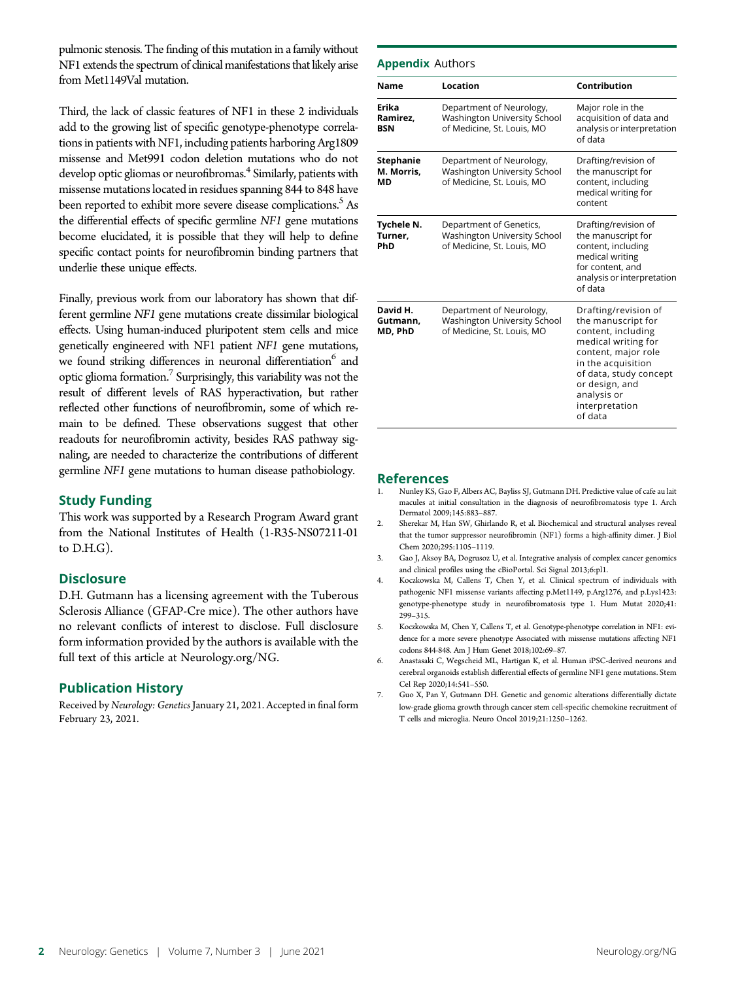pulmonic stenosis. The finding of this mutation in a family without NF1 extends the spectrum of clinical manifestations that likely arise from Met1149Val mutation.

Third, the lack of classic features of NF1 in these 2 individuals add to the growing list of specific genotype-phenotype correlations in patients with NF1, including patients harboring Arg1809 missense and Met991 codon deletion mutations who do not develop optic gliomas or neurofibromas.<sup>4</sup> Similarly, patients with missense mutations located in residues spanning 844 to 848 have been reported to exhibit more severe disease complications.<sup>5</sup> As the differential effects of specific germline NF1 gene mutations become elucidated, it is possible that they will help to define specific contact points for neurofibromin binding partners that underlie these unique effects.

Finally, previous work from our laboratory has shown that different germline NF1 gene mutations create dissimilar biological effects. Using human-induced pluripotent stem cells and mice genetically engineered with NF1 patient NF1 gene mutations, we found striking differences in neuronal differentiation<sup>6</sup> and optic glioma formation.<sup>7</sup> Surprisingly, this variability was not the result of different levels of RAS hyperactivation, but rather reflected other functions of neurofibromin, some of which remain to be defined. These observations suggest that other readouts for neurofibromin activity, besides RAS pathway signaling, are needed to characterize the contributions of different germline NF1 gene mutations to human disease pathobiology.

## Study Funding

This work was supported by a Research Program Award grant from the National Institutes of Health (1-R35-NS07211-01 to D.H.G).

#### **Disclosure**

D.H. Gutmann has a licensing agreement with the Tuberous Sclerosis Alliance (GFAP-Cre mice). The other authors have no relevant conflicts of interest to disclose. Full disclosure form information provided by the authors is available with the full text of this article at [Neurology.org/NG.](http://ng.neurology.org/lookup/doi/10.1212/NXG.0000000000000582)

#### Publication History

Received by Neurology: Genetics January 21, 2021. Accepted in final form February 23, 2021.

#### Appendix Authors

| <b>Name</b>                          | Location                                                                                      | Contribution                                                                                                                                                                                                                 |
|--------------------------------------|-----------------------------------------------------------------------------------------------|------------------------------------------------------------------------------------------------------------------------------------------------------------------------------------------------------------------------------|
| Erika<br>Ramirez,<br>BSN             | Department of Neurology,<br>Washington University School<br>of Medicine, St. Louis, MO        | Major role in the<br>acquisition of data and<br>analysis or interpretation<br>of data                                                                                                                                        |
| <b>Stephanie</b><br>M. Morris,<br>МD | Department of Neurology,<br><b>Washington University School</b><br>of Medicine, St. Louis, MO | Drafting/revision of<br>the manuscript for<br>content, including<br>medical writing for<br>content                                                                                                                           |
| Tychele N.<br>Turner,<br>PhD         | Department of Genetics,<br><b>Washington University School</b><br>of Medicine, St. Louis, MO  | Drafting/revision of<br>the manuscript for<br>content, including<br>medical writing<br>for content, and<br>analysis or interpretation<br>of data                                                                             |
| David H.<br>Gutmann.<br>MD, PhD      | Department of Neurology,<br>Washington University School<br>of Medicine, St. Louis, MO        | Drafting/revision of<br>the manuscript for<br>content, including<br>medical writing for<br>content, major role<br>in the acquisition<br>of data, study concept<br>or design, and<br>analysis or<br>interpretation<br>of data |

#### References

- 1. Nunley KS, Gao F, Albers AC, Bayliss SJ, Gutmann DH. Predictive value of cafe au lait macules at initial consultation in the diagnosis of neurofibromatosis type 1. Arch Dermatol 2009;145:883–887.
- 2. Sherekar M, Han SW, Ghirlando R, et al. Biochemical and structural analyses reveal that the tumor suppressor neurofibromin (NF1) forms a high-affinity dimer. J Biol Chem 2020;295:1105–1119.
- 3. Gao J, Aksoy BA, Dogrusoz U, et al. Integrative analysis of complex cancer genomics and clinical profiles using the cBioPortal. Sci Signal 2013;6:pl1.
- 4. Koczkowska M, Callens T, Chen Y, et al. Clinical spectrum of individuals with pathogenic NF1 missense variants affecting p.Met1149, p.Arg1276, and p.Lys1423: genotype-phenotype study in neurofibromatosis type 1. Hum Mutat 2020;41: 299–315.
- 5. Koczkowska M, Chen Y, Callens T, et al. Genotype-phenotype correlation in NF1: evidence for a more severe phenotype Associated with missense mutations affecting NF1 codons 844-848. Am J Hum Genet 2018;102:69–87.
- 6. Anastasaki C, Wegscheid ML, Hartigan K, et al. Human iPSC-derived neurons and cerebral organoids establish differential effects of germline NF1 gene mutations. Stem Cel Rep 2020;14:541–550.
- 7. Guo X, Pan Y, Gutmann DH. Genetic and genomic alterations differentially dictate low-grade glioma growth through cancer stem cell-specific chemokine recruitment of T cells and microglia. Neuro Oncol 2019;21:1250–1262.